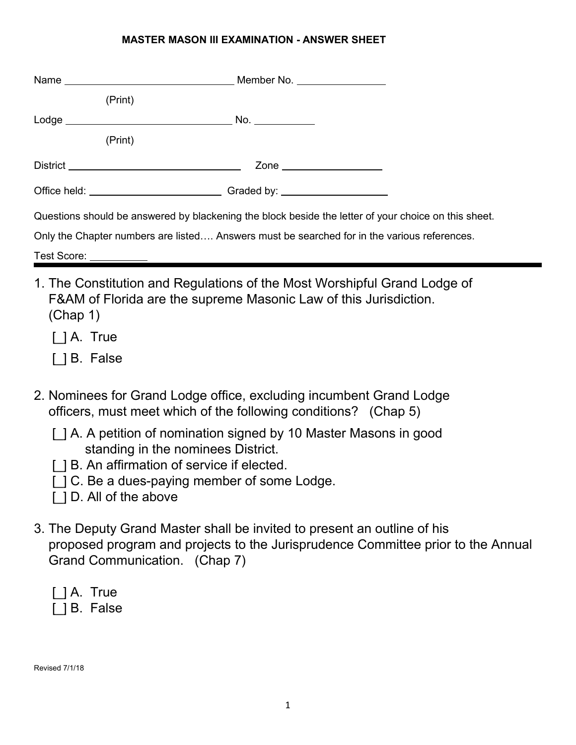## **MASTER MASON III EXAMINATION - ANSWER SHEET**

|                        | (Print)                                                                                              |
|------------------------|------------------------------------------------------------------------------------------------------|
|                        |                                                                                                      |
|                        | (Print)                                                                                              |
|                        | Zone ____________________                                                                            |
|                        |                                                                                                      |
|                        | Questions should be answered by blackening the block beside the letter of your choice on this sheet. |
|                        | Only the Chapter numbers are listed Answers must be searched for in the various references.          |
| Test Score: __________ |                                                                                                      |

- 1. The Constitution and Regulations of the Most Worshipful Grand Lodge of F&AM of Florida are the supreme Masonic Law of this Jurisdiction. (Chap 1)
	- [] A. True
	- [  $1B.$  False
- 2. Nominees for Grand Lodge office, excluding incumbent Grand Lodge officers, must meet which of the following conditions? (Chap 5)
	- [ $|$ ] A. A petition of nomination signed by 10 Master Masons in good standing in the nominees District.
	- [] B. An affirmation of service if elected.
	- [ $|C|$ . Be a dues-paying member of some Lodge.
	- [] D. All of the above
- 3. The Deputy Grand Master shall be invited to present an outline of his proposed program and projects to the Jurisprudence Committee prior to the Annual Grand Communication. (Chap 7)
	- $\lceil$   $\rceil$  A. True

[  $|B.$  False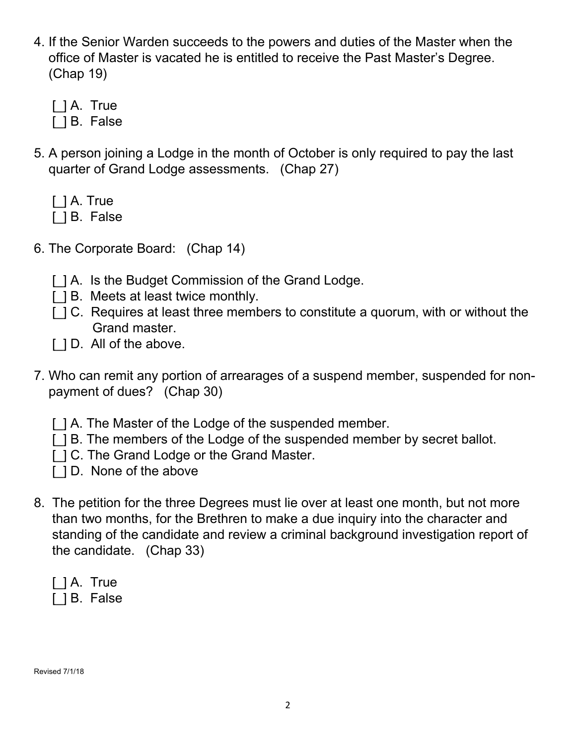- 4. If the Senior Warden succeeds to the powers and duties of the Master when the office of Master is vacated he is entitled to receive the Past Master's Degree. (Chap 19)
	- [ ] A. True
	- [  $1B.$  False
- 5. A person joining a Lodge in the month of October is only required to pay the last quarter of Grand Lodge assessments. (Chap 27)
	- [] A. True
	- [] B. False
- 6. The Corporate Board: (Chap 14)
	- [ $|$ ] A. Is the Budget Commission of the Grand Lodge.
	- [] B. Meets at least twice monthly.
	- [ $|C|$ . Requires at least three members to constitute a quorum, with or without the Grand master.
	- [ $|D.$  All of the above.
- 7. Who can remit any portion of arrearages of a suspend member, suspended for non payment of dues? (Chap 30)
	- [ $|$ ] A. The Master of the Lodge of the suspended member.
	- [ $|$ ] B. The members of the Lodge of the suspended member by secret ballot.
	- [ $|C|$ . The Grand Lodge or the Grand Master.
	- [ $|$ ] D. None of the above
- 8. The petition for the three Degrees must lie over at least one month, but not more than two months, for the Brethren to make a due inquiry into the character and standing of the candidate and review a criminal background investigation report of the candidate. (Chap 33)
	- $\lceil$   $\rceil$  A. True
	- [  $1B.$  False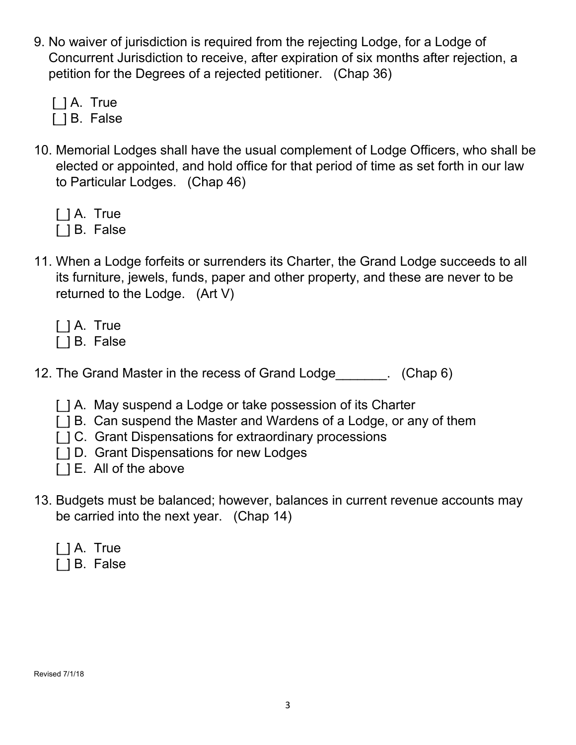- 9. No waiver of jurisdiction is required from the rejecting Lodge, for a Lodge of Concurrent Jurisdiction to receive, after expiration of six months after rejection, a petition for the Degrees of a rejected petitioner. (Chap 36)
	- [] A. True
	- [ ] B. False
- 10. Memorial Lodges shall have the usual complement of Lodge Officers, who shall be elected or appointed, and hold office for that period of time as set forth in our law to Particular Lodges. (Chap 46)
	- [] A. True [  $1B.$  False
- 11. When a Lodge forfeits or surrenders its Charter, the Grand Lodge succeeds to all its furniture, jewels, funds, paper and other property, and these are never to be returned to the Lodge. (Art V)
	- [] A. True
	- [ ] B. False
- 12. The Grand Master in the recess of Grand Lodge [10]. (Chap 6)
	- [] A. May suspend a Lodge or take possession of its Charter
	- [] B. Can suspend the Master and Wardens of a Lodge, or any of them
	- [ $|C|$ . Grant Dispensations for extraordinary processions
	- [ $|$ ] D. Grant Dispensations for new Lodges
	- [] E. All of the above
- 13. Budgets must be balanced; however, balances in current revenue accounts may be carried into the next year. (Chap 14)
	- [ ] A. True
	- [  $1B.$  False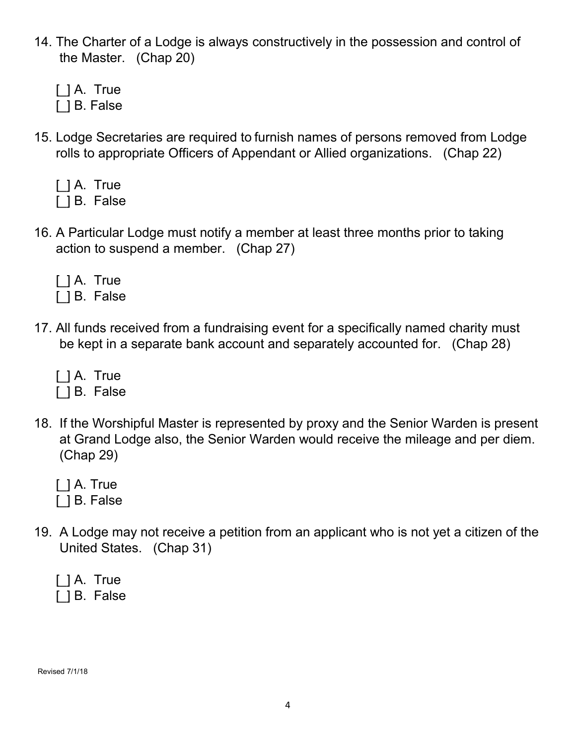- 14. The Charter of a Lodge is always constructively in the possession and control of the Master. (Chap 20)
	- [ ] A. True [] B. False
- 15. Lodge Secretaries are required to furnish names of persons removed from Lodge rolls to appropriate Officers of Appendant or Allied organizations. (Chap 22)
	- [ ] A. True
	- [ ] B. False
- 16. A Particular Lodge must notify a member at least three months prior to taking action to suspend a member. (Chap 27)
	- [] A. True
	- [ ] B. False
- 17. All funds received from a fundraising event for a specifically named charity must be kept in a separate bank account and separately accounted for. (Chap 28)

[ ] A. True [ ] B. False

- 18. If the Worshipful Master is represented by proxy and the Senior Warden is present at Grand Lodge also, the Senior Warden would receive the mileage and per diem. (Chap 29)
	- [] A. True [  $\vert$  B. False
- 19. A Lodge may not receive a petition from an applicant who is not yet a citizen of the United States. (Chap 31)

| $ $ $ $ A. True |  |
|-----------------|--|
| [ ] B. False    |  |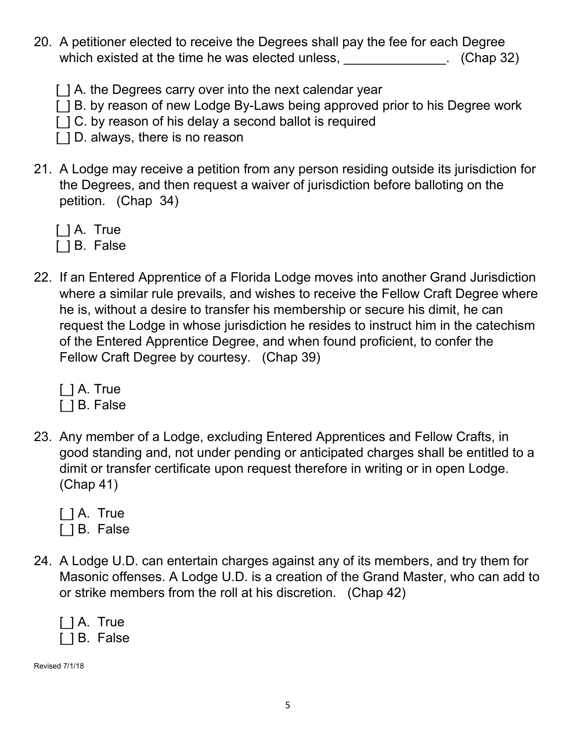- 20. A petitioner elected to receive the Degrees shall pay the fee for each Degree which existed at the time he was elected unless, \_\_\_\_\_\_\_\_\_\_\_\_\_\_\_. (Chap 32)
	- [ $|$ ] A. the Degrees carry over into the next calendar year
	- [ $|$ ] B. by reason of new Lodge By-Laws being approved prior to his Degree work
	- [] C. by reason of his delay a second ballot is required
	- [] D. always, there is no reason
- 21. A Lodge may receive a petition from any person residing outside its jurisdiction for the Degrees, and then request a waiver of jurisdiction before balloting on the petition. (Chap 34)
	- [ ] A. True
	- [ ] B. False
- 22. If an Entered Apprentice of a Florida Lodge moves into another Grand Jurisdiction where a similar rule prevails, and wishes to receive the Fellow Craft Degree where he is, without a desire to transfer his membership or secure his dimit, he can request the Lodge in whose jurisdiction he resides to instruct him in the catechism of the Entered Apprentice Degree, and when found proficient, to confer the Fellow Craft Degree by courtesy. (Chap 39)

[*\_*] A. True

- [ ] B. False
- 23. Any member of a Lodge, excluding Entered Apprentices and Fellow Crafts, in good standing and, not under pending or anticipated charges shall be entitled to a dimit or transfer certificate upon request therefore in writing or in open Lodge. (Chap 41)
	- [] A. True
	- [] B. False
- 24. A Lodge U.D. can entertain charges against any of its members, and try them for Masonic offenses. A Lodge U.D. is a creation of the Grand Master, who can add to or strike members from the roll at his discretion. (Chap 42)
	- [ ] A. True [ ] B. False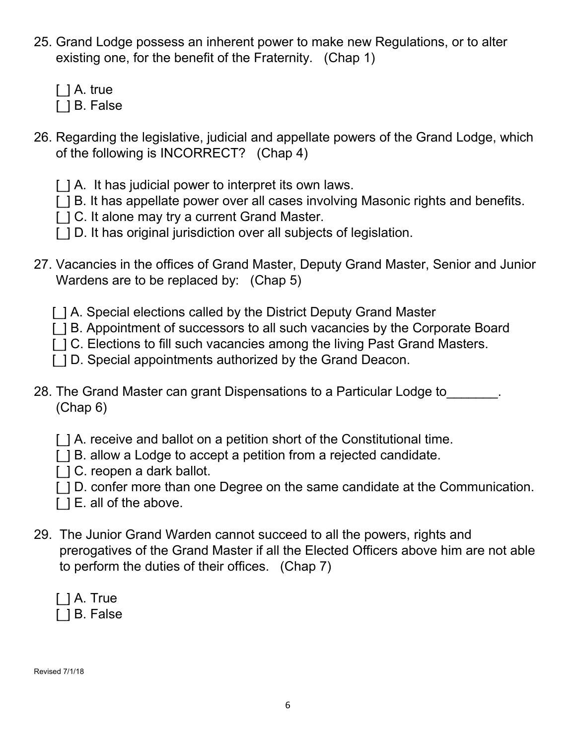- 25. Grand Lodge possess an inherent power to make new Regulations, or to alter existing one, for the benefit of the Fraternity. (Chap 1)
	- [] A. true
	- [] B. False
- 26. Regarding the legislative, judicial and appellate powers of the Grand Lodge, which of the following is INCORRECT? (Chap 4)
	- [] A. It has judicial power to interpret its own laws.
	- [ $|$ ] B. It has appellate power over all cases involving Masonic rights and benefits.
	- [ $|C|$ . It alone may try a current Grand Master.
	- [ $|$ ] D. It has original jurisdiction over all subjects of legislation.
- 27. Vacancies in the offices of Grand Master, Deputy Grand Master, Senior and Junior Wardens are to be replaced by: (Chap 5)
	- [ $|$ ] A. Special elections called by the District Deputy Grand Master
	- [ $|$ ] B. Appointment of successors to all such vacancies by the Corporate Board
	- [ $|C|$ . Elections to fill such vacancies among the living Past Grand Masters.
	- [ $|$ ] D. Special appointments authorized by the Grand Deacon.
- 28. The Grand Master can grant Dispensations to a Particular Lodge to\_\_\_\_\_\_\_. (Chap 6)
	- [ $\parallel$ ] A. receive and ballot on a petition short of the Constitutional time.
	- [ $|$ ] B. allow a Lodge to accept a petition from a rejected candidate.
	- [] C. reopen a dark ballot.
	- [ $|$ ] D. confer more than one Degree on the same candidate at the Communication.
	- [] E. all of the above.
- 29. The Junior Grand Warden cannot succeed to all the powers, rights and prerogatives of the Grand Master if all the Elected Officers above him are not able to perform the duties of their offices. (Chap 7)
	- [] A. True

[] B. False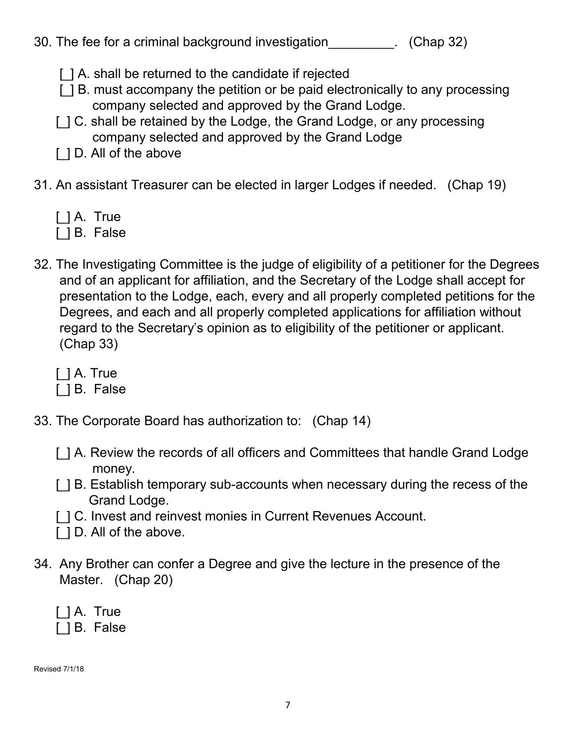|  | 30. The fee for a criminal background investigation |  |  |  |  | (Chap 32) |
|--|-----------------------------------------------------|--|--|--|--|-----------|
|--|-----------------------------------------------------|--|--|--|--|-----------|

- [] A. shall be returned to the candidate if rejected
- [ $|$ ] B. must accompany the petition or be paid electronically to any processing company selected and approved by the Grand Lodge.
- [ $|C \rangle$ . shall be retained by the Lodge, the Grand Lodge, or any processing company selected and approved by the Grand Lodge
- [ $|$ ] D. All of the above
- 31. An assistant Treasurer can be elected in larger Lodges if needed. (Chap 19)
	- [] A. True
	- [ ] B. False
- 32. The Investigating Committee is the judge of eligibility of a petitioner for the Degrees and of an applicant for affiliation, and the Secretary of the Lodge shall accept for presentation to the Lodge, each, every and all properly completed petitions for the Degrees, and each and all properly completed applications for affiliation without regard to the Secretary's opinion as to eligibility of the petitioner or applicant. (Chap 33)
	- [] A. True
	- [ ] B. False
- 33. The Corporate Board has authorization to: (Chap 14)
	- [ $\,$ ] A. Review the records of all officers and Committees that handle Grand Lodge money.
	- [ $|$ ] B. Establish temporary sub-accounts when necessary during the recess of the Grand Lodge.
	- [ $|C|$ . Invest and reinvest monies in Current Revenues Account.
	- [ $|$ ] D. All of the above.
- 34. Any Brother can confer a Degree and give the lecture in the presence of the Master. (Chap 20)
	- [ ] A. True

[ ] B. False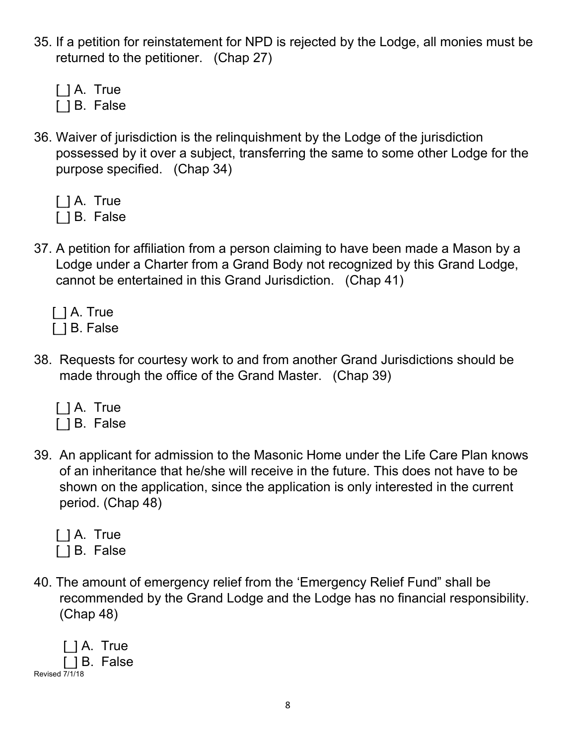- 35. If a petition for reinstatement for NPD is rejected by the Lodge, all monies must be returned to the petitioner. (Chap 27)
	- [ ] A. True
	- [ ] B. False
- 36. Waiver of jurisdiction is the relinquishment by the Lodge of the jurisdiction possessed by it over a subject, transferring the same to some other Lodge for the purpose specified. (Chap 34)

|  | I I A. True |
|--|-------------|
|  | B. False    |

- 37. A petition for affiliation from a person claiming to have been made a Mason by a Lodge under a Charter from a Grand Body not recognized by this Grand Lodge, cannot be entertained in this Grand Jurisdiction. (Chap 41)
	- [] A. True [] B. False
- 38. Requests for courtesy work to and from another Grand Jurisdictions should be made through the office of the Grand Master. (Chap 39)
	- [ ] A. True

[  $1B.$  False

- 39. An applicant for admission to the Masonic Home under the Life Care Plan knows of an inheritance that he/she will receive in the future. This does not have to be shown on the application, since the application is only interested in the current period. (Chap 48)
	- [] A. True
	- [ ] B. False
- 40. The amount of emergency relief from the 'Emergency Relief Fund" shall be recommended by the Grand Lodge and the Lodge has no financial responsibility. (Chap 48)

[] A. True [\_] B. False Revised 7/1/18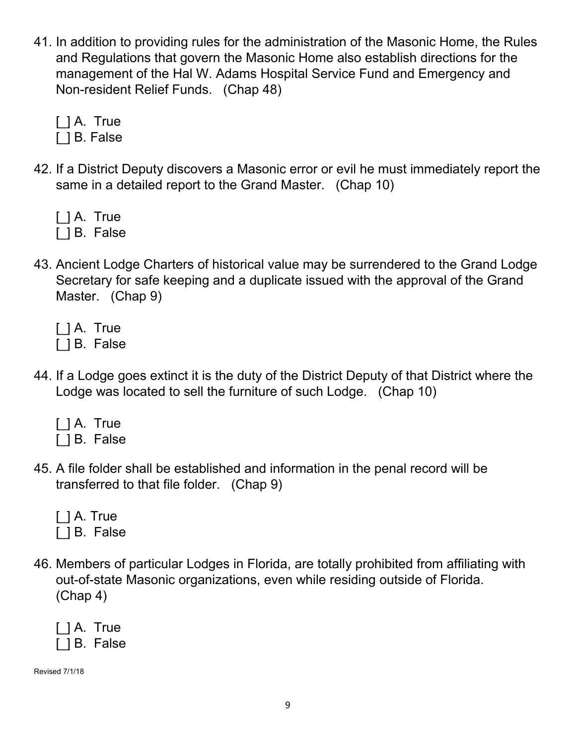41. In addition to providing rules for the administration of the Masonic Home, the Rules and Regulations that govern the Masonic Home also establish directions for the management of the Hal W. Adams Hospital Service Fund and Emergency and Non-resident Relief Funds. (Chap 48)

[ ] A. True

- [] B. False
- 42. If a District Deputy discovers a Masonic error or evil he must immediately report the same in a detailed report to the Grand Master. (Chap 10)

[] A. True

- [ ] B. False
- 43. Ancient Lodge Charters of historical value may be surrendered to the Grand Lodge Secretary for safe keeping and a duplicate issued with the approval of the Grand Master. (Chap 9)

[ ] A. True [ ] B. False

- 44. If a Lodge goes extinct it is the duty of the District Deputy of that District where the Lodge was located to sell the furniture of such Lodge. (Chap 10)
	- [ ] A. True

[ ] B. False

45. A file folder shall be established and information in the penal record will be transferred to that file folder. (Chap 9)

|  | $\lceil$ $\rceil$ A. True |
|--|---------------------------|
|  | [ ] B. False              |

46. Members of particular Lodges in Florida, are totally prohibited from affiliating with out-of-state Masonic organizations, even while residing outside of Florida. (Chap 4)

|  | $ $ $ $ A. True |
|--|-----------------|
|  | [ ] B. False    |